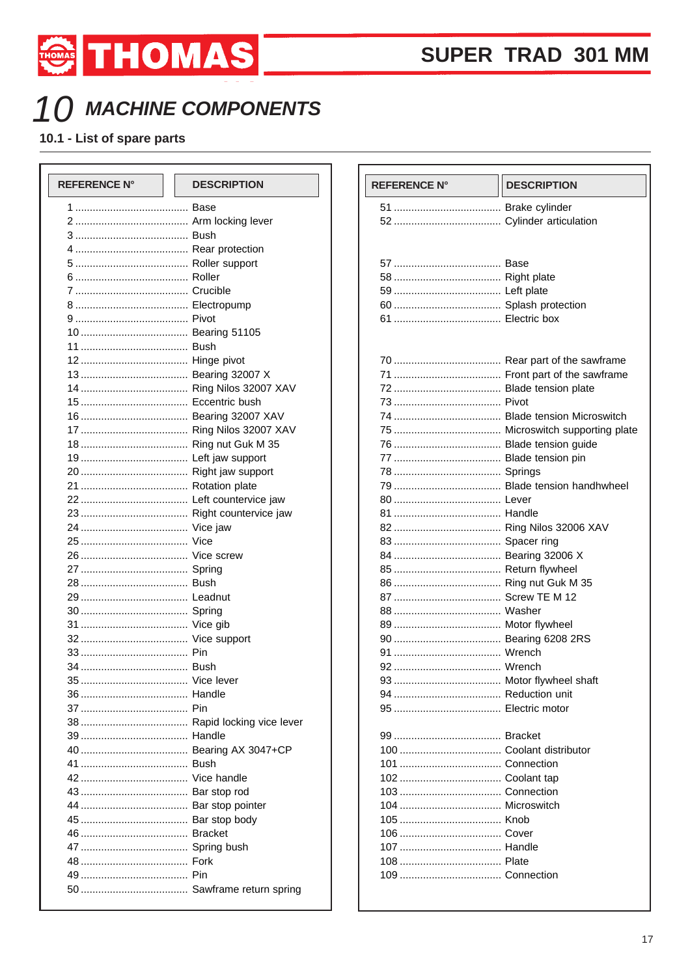

## 10 MACHINE COMPONENTS

THOMAS THOMAS

10.1 - List of spare parts

| <b>REFERENCE N°</b> | <b>DESCRIPTION</b> |  |
|---------------------|--------------------|--|
|                     |                    |  |
|                     |                    |  |
|                     |                    |  |
|                     |                    |  |
|                     |                    |  |
|                     |                    |  |
|                     |                    |  |
|                     |                    |  |
|                     |                    |  |
|                     |                    |  |
|                     |                    |  |
|                     |                    |  |
|                     |                    |  |
|                     |                    |  |
|                     |                    |  |
|                     |                    |  |
|                     |                    |  |
|                     |                    |  |
|                     |                    |  |
|                     |                    |  |
|                     |                    |  |
|                     |                    |  |
|                     |                    |  |
|                     |                    |  |
|                     |                    |  |
|                     |                    |  |
|                     |                    |  |
|                     |                    |  |
|                     |                    |  |
|                     |                    |  |
|                     |                    |  |
|                     |                    |  |
|                     |                    |  |
|                     |                    |  |
|                     |                    |  |
|                     |                    |  |
|                     |                    |  |
|                     |                    |  |
|                     |                    |  |
|                     |                    |  |
|                     |                    |  |
|                     |                    |  |
|                     |                    |  |
|                     |                    |  |
|                     |                    |  |
|                     |                    |  |
|                     |                    |  |
|                     |                    |  |
|                     |                    |  |
|                     |                    |  |

| <b>REFERENCE N°</b> | <b>DESCRIPTION</b> |
|---------------------|--------------------|
|                     |                    |
|                     |                    |
|                     |                    |
|                     |                    |
|                     |                    |
|                     |                    |
|                     |                    |
|                     |                    |
|                     |                    |
|                     |                    |
|                     |                    |
|                     |                    |
|                     |                    |
|                     |                    |
|                     |                    |
|                     |                    |
|                     |                    |
|                     |                    |
|                     |                    |
|                     |                    |
|                     |                    |
|                     |                    |
|                     |                    |
|                     |                    |
|                     |                    |
|                     |                    |
|                     |                    |
|                     |                    |
|                     |                    |
|                     |                    |
|                     |                    |
|                     |                    |
|                     |                    |
|                     |                    |
|                     |                    |
|                     |                    |
|                     |                    |
|                     |                    |
|                     |                    |
|                     |                    |
|                     |                    |
|                     |                    |
|                     |                    |
|                     |                    |
|                     |                    |
|                     |                    |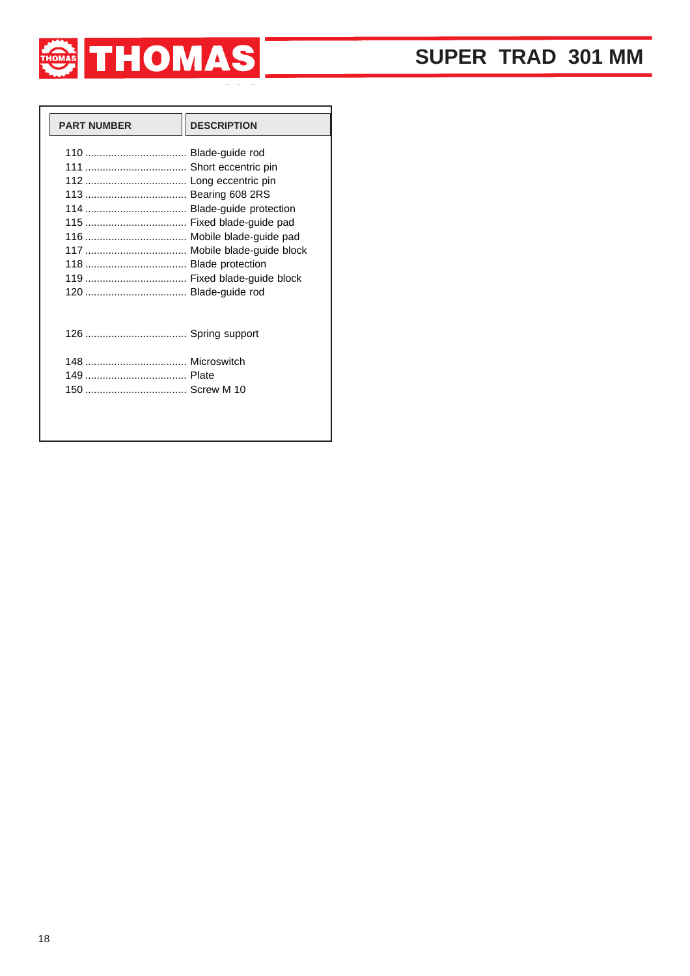

| <b>PART NUMBER</b>          | <b>DESCRIPTION</b> |
|-----------------------------|--------------------|
|                             |                    |
|                             |                    |
|                             |                    |
|                             |                    |
| 114  Blade-guide protection |                    |
|                             |                    |
|                             |                    |
|                             |                    |
|                             |                    |
|                             |                    |
|                             |                    |
|                             |                    |
|                             |                    |
|                             |                    |
|                             |                    |
|                             |                    |
|                             |                    |
|                             |                    |
|                             |                    |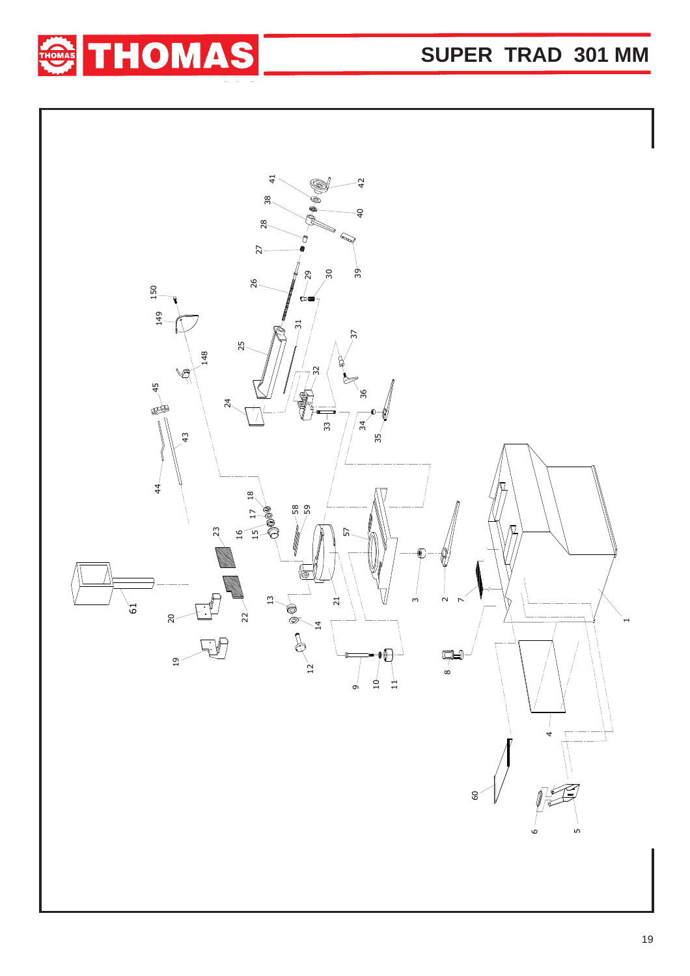**SUPER TRAD 301 MM**



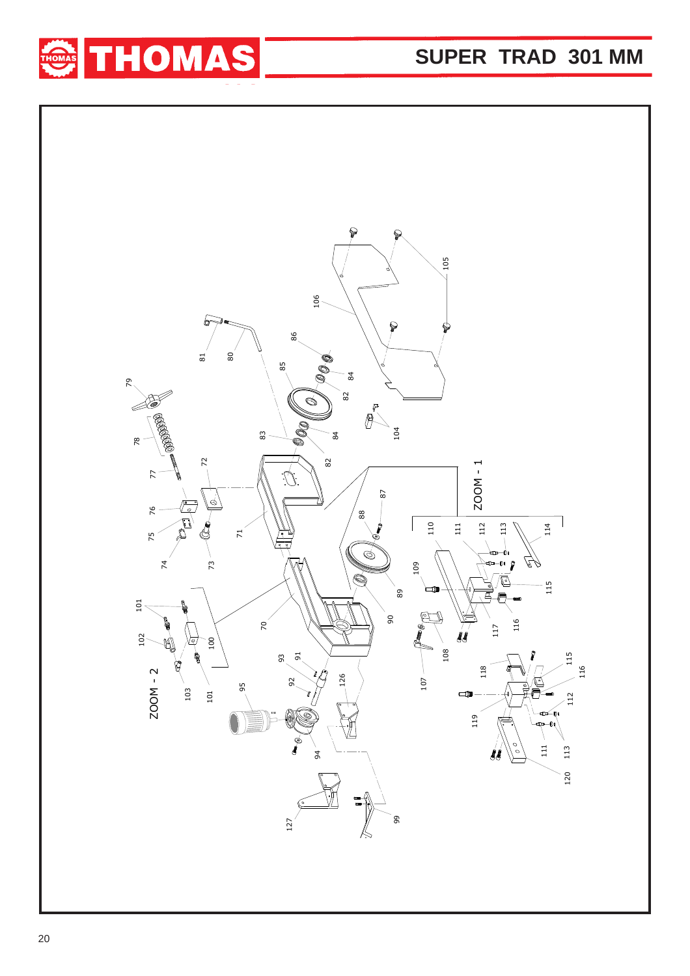

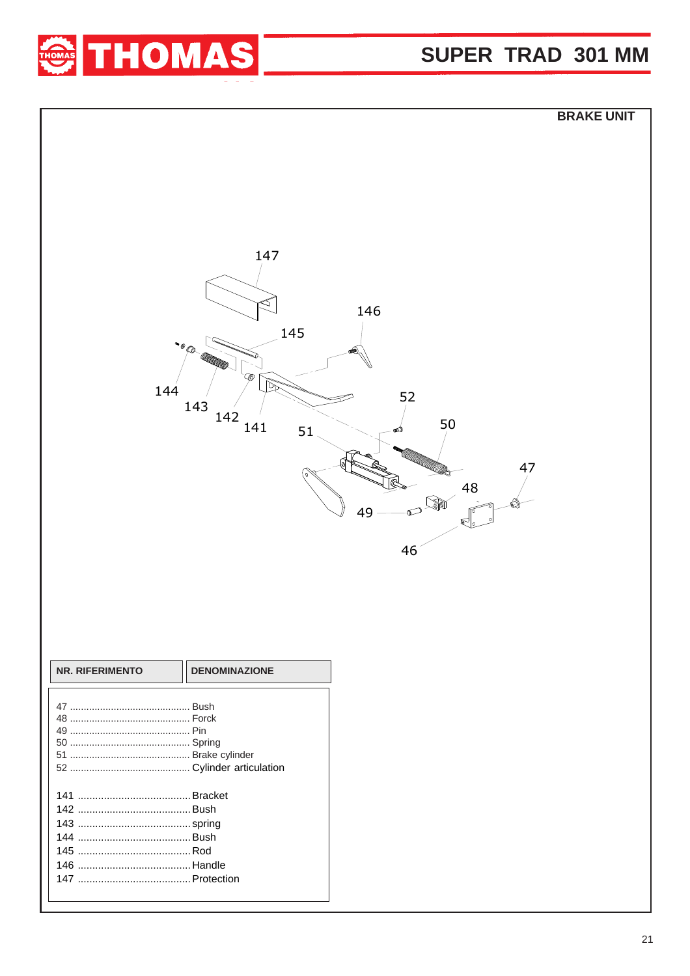

## SUPER TRAD 301 MM

|                 |                      |                     | <b>BRAKE UNIT</b> |
|-----------------|----------------------|---------------------|-------------------|
|                 |                      |                     |                   |
|                 |                      |                     |                   |
|                 |                      |                     |                   |
|                 |                      |                     |                   |
|                 |                      |                     |                   |
|                 |                      |                     |                   |
|                 | 147                  |                     |                   |
|                 |                      |                     |                   |
|                 |                      | 146                 |                   |
|                 | 145                  |                     |                   |
|                 | ·· O CO CO CO        | €                   |                   |
|                 | C                    |                     |                   |
| 144             |                      | 52                  |                   |
|                 | 143                  |                     |                   |
|                 | 142<br>141<br>51     | 50                  |                   |
|                 |                      |                     |                   |
|                 |                      |                     | 47                |
|                 |                      | 48                  |                   |
|                 |                      | S<br>$\infty$<br>49 |                   |
|                 |                      | ☞                   |                   |
|                 |                      | 46                  |                   |
|                 |                      |                     |                   |
|                 |                      |                     |                   |
|                 |                      |                     |                   |
|                 |                      |                     |                   |
|                 |                      |                     |                   |
| NR. RIFERIMENTO | <b>DENOMINAZIONE</b> |                     |                   |
|                 |                      |                     |                   |
|                 |                      |                     |                   |
|                 |                      |                     |                   |
|                 |                      |                     |                   |
|                 |                      |                     |                   |
|                 |                      |                     |                   |
|                 |                      |                     |                   |
|                 |                      |                     |                   |
|                 |                      |                     |                   |
|                 |                      |                     |                   |
|                 |                      |                     |                   |